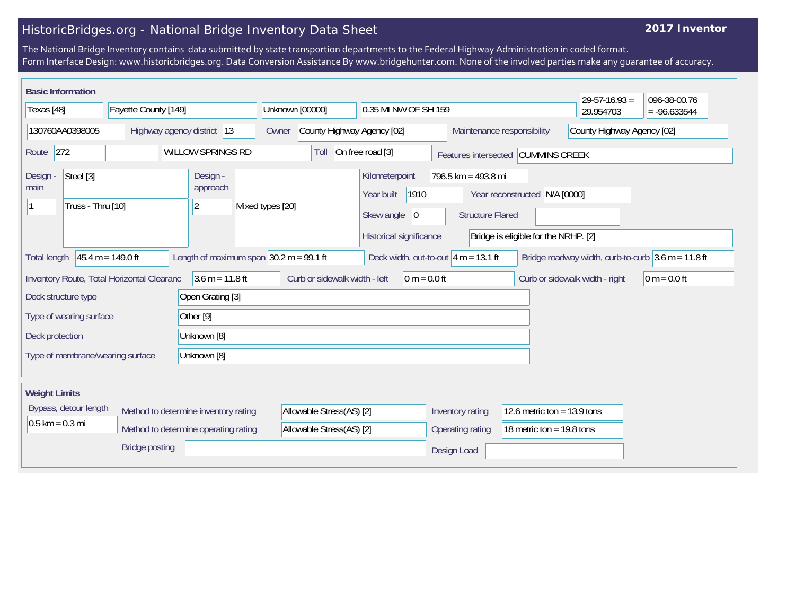## HistoricBridges.org - National Bridge Inventory Data Sheet

## **2017 Inventor**

The National Bridge Inventory contains data submitted by state transportion departments to the Federal Highway Administration in coded format. Form Interface Design: www.historicbridges.org. Data Conversion Assistance By www.bridgehunter.com. None of the involved parties make any guarantee of accuracy.

| <b>Basic Information</b>                           |                       |                                                                              |                                                      |                                                                                 |                                                          |                                                                       | $29 - 57 - 16.93 =$                                  | 096-38-00.76   |
|----------------------------------------------------|-----------------------|------------------------------------------------------------------------------|------------------------------------------------------|---------------------------------------------------------------------------------|----------------------------------------------------------|-----------------------------------------------------------------------|------------------------------------------------------|----------------|
| Texas [48]                                         | Fayette County [149]  |                                                                              | Unknown [00000]                                      | 0.35 MI NW OF SH 159                                                            |                                                          |                                                                       | 29.954703                                            | $= -96.633544$ |
| Highway agency district 13<br>130760AA0398005      |                       | Owner                                                                        | County Highway Agency [02]                           |                                                                                 | County Highway Agency [02]<br>Maintenance responsibility |                                                                       |                                                      |                |
| 272<br><b>WILLOW SPRINGS RD</b><br>Route           |                       |                                                                              | Toll                                                 | On free road [3]<br>Features intersected CUMMINS CREEK                          |                                                          |                                                                       |                                                      |                |
| Steel [3]<br>Design -<br>main<br>Truss - Thru [10] |                       | Design -<br>approach<br>$\overline{2}$                                       | Mixed types [20]                                     | Kilometerpoint<br>1910<br>Year built<br>Skew angle 0<br>Historical significance | 796.5 km = 493.8 mi<br><b>Structure Flared</b>           | Year reconstructed N/A [0000]<br>Bridge is eligible for the NRHP. [2] |                                                      |                |
| Total length                                       | $45.4 m = 149.0 ft$   |                                                                              | Length of maximum span $30.2$ m = 99.1 ft            | Deck width, out-to-out $ 4 m = 13.1$ ft                                         |                                                          |                                                                       | Bridge roadway width, curb-to-curb $3.6$ m = 11.8 ft |                |
| Inventory Route, Total Horizontal Clearanc         |                       | $3.6 m = 11.8 ft$                                                            | Curb or sidewalk width - left                        | $ 0 m = 0.0 ft$                                                                 |                                                          |                                                                       | Curb or sidewalk width - right                       | 0 m = $0.0$ ft |
| Deck structure type                                |                       | Open Grating [3]                                                             |                                                      |                                                                                 |                                                          |                                                                       |                                                      |                |
| Type of wearing surface                            |                       | Other [9]                                                                    |                                                      |                                                                                 |                                                          |                                                                       |                                                      |                |
| Unknown [8]<br>Deck protection                     |                       |                                                                              |                                                      |                                                                                 |                                                          |                                                                       |                                                      |                |
| Type of membrane/wearing surface                   |                       | Unknown [8]                                                                  |                                                      |                                                                                 |                                                          |                                                                       |                                                      |                |
| <b>Weight Limits</b>                               |                       |                                                                              |                                                      |                                                                                 |                                                          |                                                                       |                                                      |                |
| Bypass, detour length<br>$0.5$ km = 0.3 mi         |                       | Method to determine inventory rating<br>Method to determine operating rating | Allowable Stress(AS) [2]<br>Allowable Stress(AS) [2] |                                                                                 | Inventory rating<br>Operating rating                     | 12.6 metric ton = $13.9$ tons<br>18 metric ton = $19.8$ tons          |                                                      |                |
|                                                    | <b>Bridge posting</b> |                                                                              |                                                      |                                                                                 | Design Load                                              |                                                                       |                                                      |                |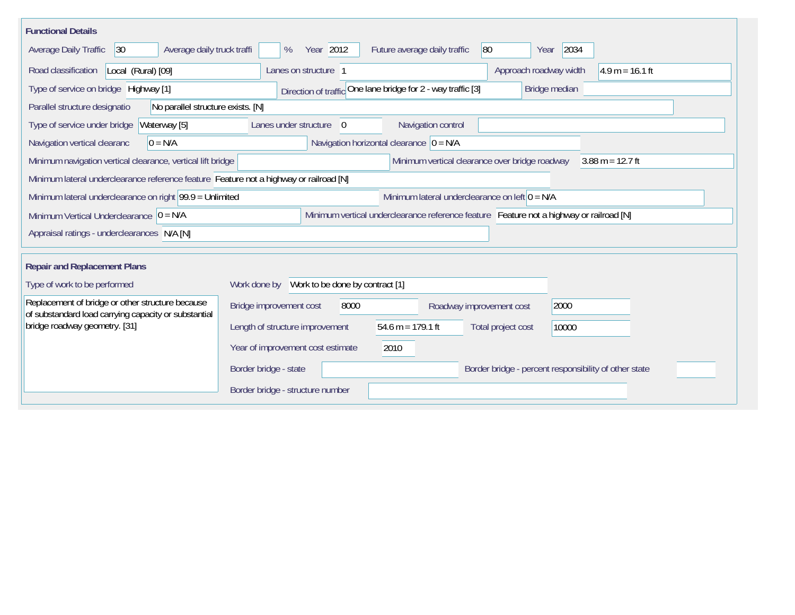| <b>Functional Details</b>                                                                                                                           |                                                                                       |  |  |  |  |  |  |  |  |
|-----------------------------------------------------------------------------------------------------------------------------------------------------|---------------------------------------------------------------------------------------|--|--|--|--|--|--|--|--|
| Average daily truck traffi<br>Average Daily Traffic<br> 30                                                                                          | 2034<br>Year 2012<br>80<br>%<br>Future average daily traffic<br>Year                  |  |  |  |  |  |  |  |  |
| Road classification<br>Local (Rural) [09]                                                                                                           | Approach roadway width<br>$4.9 m = 16.1 ft$<br>Lanes on structure 1                   |  |  |  |  |  |  |  |  |
| Type of service on bridge Highway [1]                                                                                                               | Direction of traffic One lane bridge for 2 - way traffic [3]<br>Bridge median         |  |  |  |  |  |  |  |  |
| No parallel structure exists. [N]<br>Parallel structure designatio                                                                                  |                                                                                       |  |  |  |  |  |  |  |  |
| Waterway [5]<br>Type of service under bridge                                                                                                        | Navigation control<br>Lanes under structure<br>$\overline{0}$                         |  |  |  |  |  |  |  |  |
| $0 = N/A$<br>Navigation vertical clearanc                                                                                                           | Navigation horizontal clearance $ 0 = N/A$                                            |  |  |  |  |  |  |  |  |
| Minimum vertical clearance over bridge roadway<br>Minimum navigation vertical clearance, vertical lift bridge<br>$3.88 \text{ m} = 12.7 \text{ ft}$ |                                                                                       |  |  |  |  |  |  |  |  |
| Minimum lateral underclearance reference feature Feature not a highway or railroad [N]                                                              |                                                                                       |  |  |  |  |  |  |  |  |
| Minimum lateral underclearance on left $0 = N/A$<br>Minimum lateral underclearance on right $99.9 =$ Unlimited                                      |                                                                                       |  |  |  |  |  |  |  |  |
| Minimum Vertical Underclearance $ 0 = N/A $<br>Minimum vertical underclearance reference feature Feature not a highway or railroad [N]              |                                                                                       |  |  |  |  |  |  |  |  |
| Appraisal ratings - underclearances N/A [N]                                                                                                         |                                                                                       |  |  |  |  |  |  |  |  |
|                                                                                                                                                     |                                                                                       |  |  |  |  |  |  |  |  |
| <b>Repair and Replacement Plans</b>                                                                                                                 |                                                                                       |  |  |  |  |  |  |  |  |
| Type of work to be performed                                                                                                                        | Work done by Work to be done by contract [1]                                          |  |  |  |  |  |  |  |  |
| Replacement of bridge or other structure because<br>of substandard load carrying capacity or substantial                                            | Bridge improvement cost<br>8000<br>2000<br>Roadway improvement cost                   |  |  |  |  |  |  |  |  |
| bridge roadway geometry. [31]                                                                                                                       | 54.6 m = $179.1$ ft<br>Length of structure improvement<br>Total project cost<br>10000 |  |  |  |  |  |  |  |  |
|                                                                                                                                                     | Year of improvement cost estimate<br>2010                                             |  |  |  |  |  |  |  |  |
|                                                                                                                                                     | Border bridge - state<br>Border bridge - percent responsibility of other state        |  |  |  |  |  |  |  |  |
|                                                                                                                                                     | Border bridge - structure number                                                      |  |  |  |  |  |  |  |  |